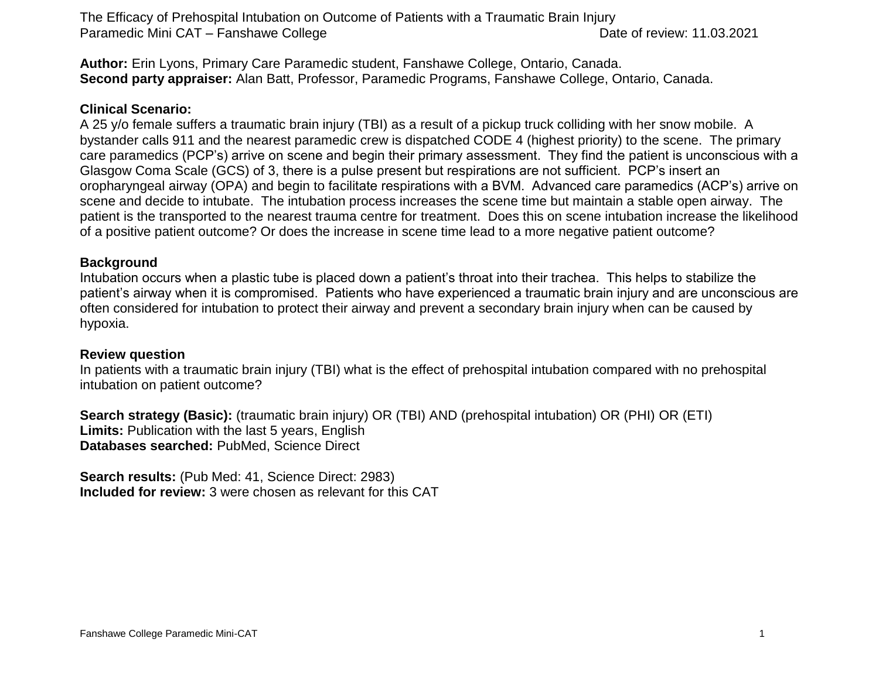The Efficacy of Prehospital Intubation on Outcome of Patients with a Traumatic Brain Injury Paramedic Mini CAT – Fanshawe College Date of review: 11.03.2021

**Author:** Erin Lyons, Primary Care Paramedic student, Fanshawe College, Ontario, Canada. **Second party appraiser:** Alan Batt, Professor, Paramedic Programs, Fanshawe College, Ontario, Canada.

## **Clinical Scenario:**

A 25 y/o female suffers a traumatic brain injury (TBI) as a result of a pickup truck colliding with her snow mobile. A bystander calls 911 and the nearest paramedic crew is dispatched CODE 4 (highest priority) to the scene. The primary care paramedics (PCP's) arrive on scene and begin their primary assessment. They find the patient is unconscious with a Glasgow Coma Scale (GCS) of 3, there is a pulse present but respirations are not sufficient. PCP's insert an oropharyngeal airway (OPA) and begin to facilitate respirations with a BVM. Advanced care paramedics (ACP's) arrive on scene and decide to intubate. The intubation process increases the scene time but maintain a stable open airway. The patient is the transported to the nearest trauma centre for treatment. Does this on scene intubation increase the likelihood of a positive patient outcome? Or does the increase in scene time lead to a more negative patient outcome?

## **Background**

Intubation occurs when a plastic tube is placed down a patient's throat into their trachea. This helps to stabilize the patient's airway when it is compromised. Patients who have experienced a traumatic brain injury and are unconscious are often considered for intubation to protect their airway and prevent a secondary brain injury when can be caused by hypoxia.

### **Review question**

In patients with a traumatic brain injury (TBI) what is the effect of prehospital intubation compared with no prehospital intubation on patient outcome?

**Search strategy (Basic):** (traumatic brain injury) OR (TBI) AND (prehospital intubation) OR (PHI) OR (ETI) **Limits:** Publication with the last 5 years, English **Databases searched:** PubMed, Science Direct

**Search results:** (Pub Med: 41, Science Direct: 2983) **Included for review:** 3 were chosen as relevant for this CAT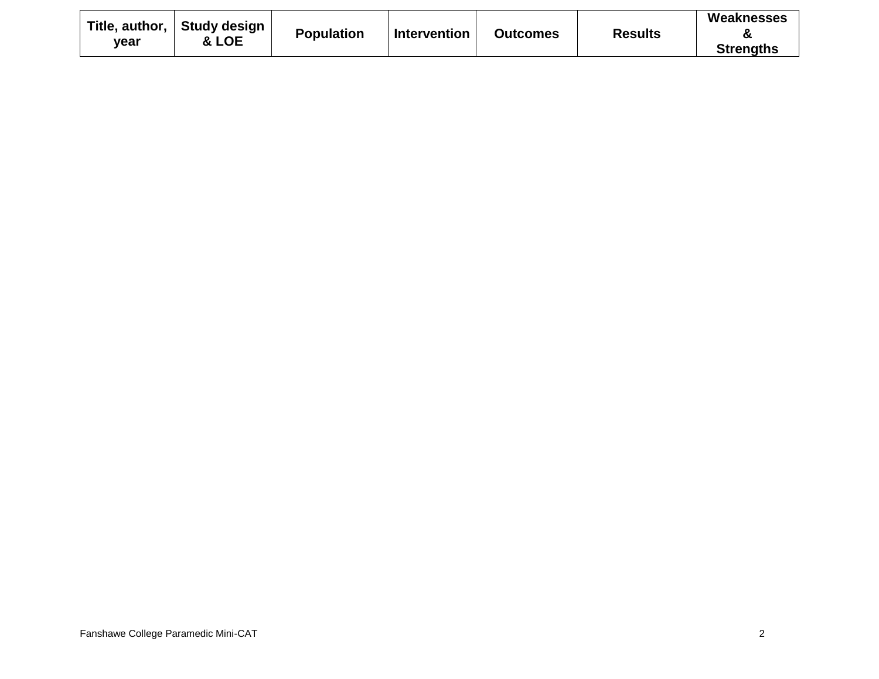| vear | Title, author,    Study design<br>& LOE | <b>Population</b> | <b>Intervention</b> | <b>Outcomes</b> | <b>Results</b> | Weaknesses<br>α  |
|------|-----------------------------------------|-------------------|---------------------|-----------------|----------------|------------------|
|      |                                         |                   |                     |                 |                | <b>Strengths</b> |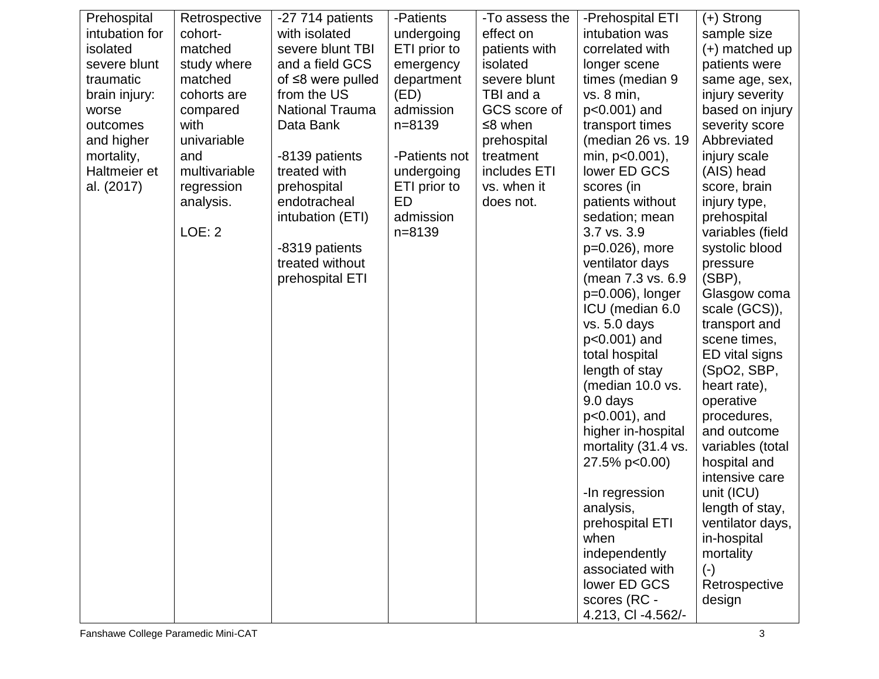| Prehospital    | Retrospective | -27 714 patients        | -Patients     | -To assess the | -Prehospital ETI    | $(+)$ Strong       |
|----------------|---------------|-------------------------|---------------|----------------|---------------------|--------------------|
| intubation for | cohort-       | with isolated           | undergoing    | effect on      | intubation was      | sample size        |
| isolated       | matched       | severe blunt TBI        | ETI prior to  | patients with  | correlated with     | (+) matched up     |
| severe blunt   | study where   | and a field GCS         | emergency     | isolated       | longer scene        | patients were      |
| traumatic      | matched       | of $\leq$ 8 were pulled | department    | severe blunt   | times (median 9     | same age, sex,     |
| brain injury:  | cohorts are   | from the US             | (ED)          | TBI and a      | vs. 8 min,          | injury severity    |
| worse          | compared      | <b>National Trauma</b>  | admission     | GCS score of   | p<0.001) and        | based on injury    |
| outcomes       | with          | Data Bank               | $n = 8139$    | $\leq$ 8 when  | transport times     | severity score     |
| and higher     | univariable   |                         |               | prehospital    | (median 26 vs. 19   | Abbreviated        |
| mortality,     | and           | -8139 patients          | -Patients not | treatment      | min, p<0.001),      | injury scale       |
| Haltmeier et   | multivariable | treated with            | undergoing    | includes ETI   | lower ED GCS        | (AIS) head         |
| al. (2017)     | regression    | prehospital             | ETI prior to  | vs. when it    | scores (in          | score, brain       |
|                | analysis.     | endotracheal            | ED            | does not.      | patients without    | injury type,       |
|                |               | intubation (ETI)        | admission     |                | sedation; mean      | prehospital        |
|                | <b>LOE: 2</b> |                         | $n = 8139$    |                | 3.7 vs. 3.9         | variables (field   |
|                |               | -8319 patients          |               |                | p=0.026), more      | systolic blood     |
|                |               | treated without         |               |                | ventilator days     | pressure           |
|                |               | prehospital ETI         |               |                | (mean 7.3 vs. 6.9   | $(SBP)$ ,          |
|                |               |                         |               |                | p=0.006), longer    | Glasgow coma       |
|                |               |                         |               |                | ICU (median 6.0     | scale (GCS)),      |
|                |               |                         |               |                | vs. 5.0 days        | transport and      |
|                |               |                         |               |                | p<0.001) and        | scene times,       |
|                |               |                         |               |                | total hospital      | ED vital signs     |
|                |               |                         |               |                | length of stay      | (SpO2, SBP,        |
|                |               |                         |               |                | (median 10.0 vs.    | heart rate),       |
|                |               |                         |               |                | 9.0 days            | operative          |
|                |               |                         |               |                | $p<0.001$ ), and    | procedures,        |
|                |               |                         |               |                | higher in-hospital  | and outcome        |
|                |               |                         |               |                | mortality (31.4 vs. | variables (total   |
|                |               |                         |               |                | 27.5% p<0.00)       | hospital and       |
|                |               |                         |               |                |                     | intensive care     |
|                |               |                         |               |                | -In regression      | unit (ICU)         |
|                |               |                         |               |                | analysis,           | length of stay,    |
|                |               |                         |               |                | prehospital ETI     | ventilator days,   |
|                |               |                         |               |                | when                | in-hospital        |
|                |               |                         |               |                | independently       | mortality          |
|                |               |                         |               |                | associated with     | $(\textnormal{-})$ |
|                |               |                         |               |                | lower ED GCS        | Retrospective      |
|                |               |                         |               |                | scores (RC -        | design             |
|                |               |                         |               |                | 4.213, CI -4.562/-  |                    |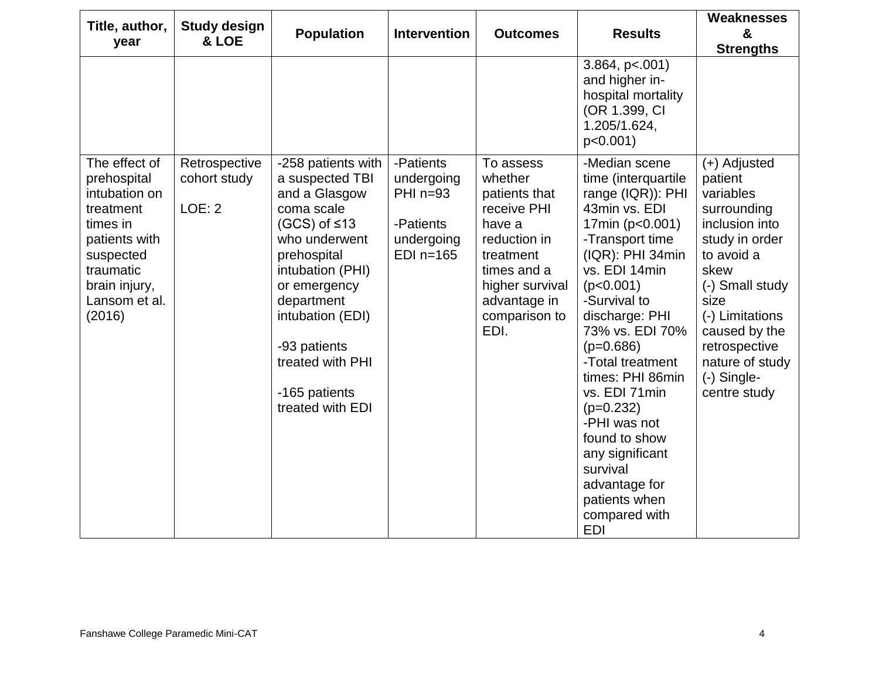| Title, author,<br>year                                                                                                                                        | <b>Study design</b><br>& LOE                   | <b>Population</b>                                                                                                                                                                                                                                                           | <b>Intervention</b>                                                             | <b>Outcomes</b>                                                                                                                                                        | <b>Results</b>                                                                                                                                                                                                                                                                                                                                                                                                                                  | <b>Weaknesses</b><br>&<br><b>Strengths</b>                                                                                                                                                                                                        |
|---------------------------------------------------------------------------------------------------------------------------------------------------------------|------------------------------------------------|-----------------------------------------------------------------------------------------------------------------------------------------------------------------------------------------------------------------------------------------------------------------------------|---------------------------------------------------------------------------------|------------------------------------------------------------------------------------------------------------------------------------------------------------------------|-------------------------------------------------------------------------------------------------------------------------------------------------------------------------------------------------------------------------------------------------------------------------------------------------------------------------------------------------------------------------------------------------------------------------------------------------|---------------------------------------------------------------------------------------------------------------------------------------------------------------------------------------------------------------------------------------------------|
|                                                                                                                                                               |                                                |                                                                                                                                                                                                                                                                             |                                                                                 |                                                                                                                                                                        | 3.864, p<.001<br>and higher in-<br>hospital mortality<br>(OR 1.399, CI<br>1.205/1.624,<br>$p<0.001$ )                                                                                                                                                                                                                                                                                                                                           |                                                                                                                                                                                                                                                   |
| The effect of<br>prehospital<br>intubation on<br>treatment<br>times in<br>patients with<br>suspected<br>traumatic<br>brain injury,<br>Lansom et al.<br>(2016) | Retrospective<br>cohort study<br><b>LOE: 2</b> | -258 patients with<br>a suspected TBI<br>and a Glasgow<br>coma scale<br>$(GCS)$ of $\leq 13$<br>who underwent<br>prehospital<br>intubation (PHI)<br>or emergency<br>department<br>intubation (EDI)<br>-93 patients<br>treated with PHI<br>-165 patients<br>treated with EDI | -Patients<br>undergoing<br>PHI $n=93$<br>-Patients<br>undergoing<br>$EDI$ n=165 | To assess<br>whether<br>patients that<br>receive PHI<br>have a<br>reduction in<br>treatment<br>times and a<br>higher survival<br>advantage in<br>comparison to<br>EDI. | -Median scene<br>time (interquartile<br>range (IQR)): PHI<br>43min vs. EDI<br>17min (p<0.001)<br>-Transport time<br>(IQR): PHI 34min<br>vs. EDI 14min<br>(p<0.001)<br>-Survival to<br>discharge: PHI<br>73% vs. EDI 70%<br>$(p=0.686)$<br>-Total treatment<br>times: PHI 86min<br>vs. EDI 71min<br>$(p=0.232)$<br>-PHI was not<br>found to show<br>any significant<br>survival<br>advantage for<br>patients when<br>compared with<br><b>EDI</b> | (+) Adjusted<br>patient<br>variables<br>surrounding<br>inclusion into<br>study in order<br>to avoid a<br>skew<br>(-) Small study<br>size<br>(-) Limitations<br>caused by the<br>retrospective<br>nature of study<br>$(-)$ Single-<br>centre study |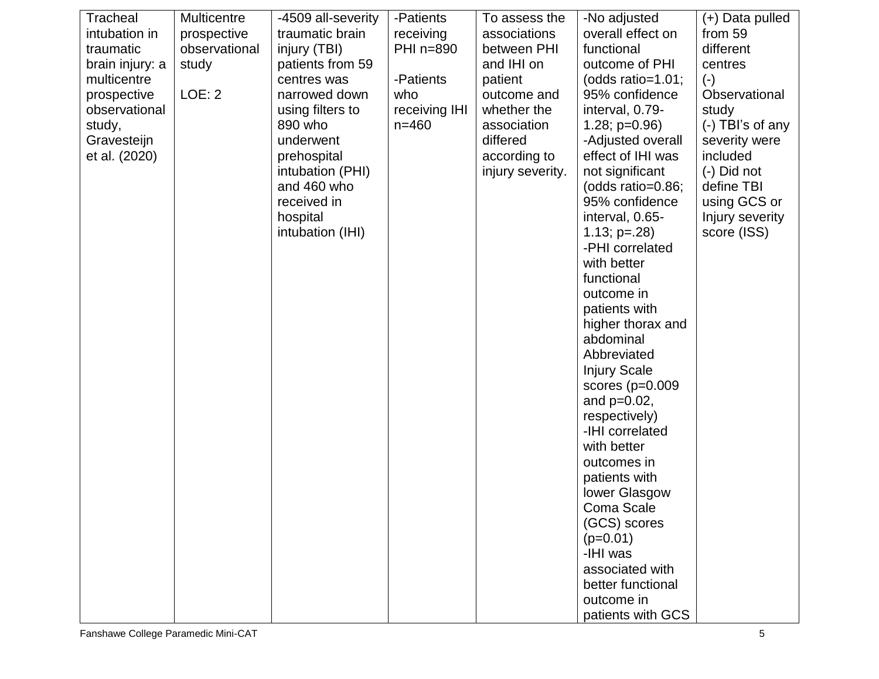| Tracheal        | <b>Multicentre</b> | -4509 all-severity | -Patients     | To assess the    | -No adjusted          | (+) Data pulled    |
|-----------------|--------------------|--------------------|---------------|------------------|-----------------------|--------------------|
| intubation in   | prospective        | traumatic brain    | receiving     | associations     | overall effect on     | from 59            |
| traumatic       | observational      | injury (TBI)       | PHI n=890     | between PHI      | functional            | different          |
| brain injury: a | study              | patients from 59   |               | and IHI on       | outcome of PHI        | centres            |
| multicentre     |                    | centres was        | -Patients     | patient          | (odds ratio= $1.01$ ; | $(-)$              |
| prospective     | LOE: 2             | narrowed down      | who           | outcome and      | 95% confidence        | Observational      |
| observational   |                    | using filters to   | receiving IHI | whether the      | interval, 0.79-       | study              |
| study,          |                    | 890 who            | $n = 460$     | association      | $1.28; p=0.96$        | $(-)$ TBI's of any |
| Gravesteijn     |                    | underwent          |               | differed         | -Adjusted overall     | severity were      |
| et al. (2020)   |                    | prehospital        |               | according to     | effect of IHI was     | included           |
|                 |                    | intubation (PHI)   |               | injury severity. | not significant       | (-) Did not        |
|                 |                    | and 460 who        |               |                  | (odds ratio=0.86;     | define TBI         |
|                 |                    | received in        |               |                  | 95% confidence        | using GCS or       |
|                 |                    | hospital           |               |                  | interval, 0.65-       | Injury severity    |
|                 |                    | intubation (IHI)   |               |                  | $1.13$ ; $p=.28$ )    | score (ISS)        |
|                 |                    |                    |               |                  | -PHI correlated       |                    |
|                 |                    |                    |               |                  | with better           |                    |
|                 |                    |                    |               |                  | functional            |                    |
|                 |                    |                    |               |                  | outcome in            |                    |
|                 |                    |                    |               |                  | patients with         |                    |
|                 |                    |                    |               |                  | higher thorax and     |                    |
|                 |                    |                    |               |                  | abdominal             |                    |
|                 |                    |                    |               |                  | Abbreviated           |                    |
|                 |                    |                    |               |                  | <b>Injury Scale</b>   |                    |
|                 |                    |                    |               |                  | scores $(p=0.009)$    |                    |
|                 |                    |                    |               |                  | and $p=0.02$ ,        |                    |
|                 |                    |                    |               |                  | respectively)         |                    |
|                 |                    |                    |               |                  | -IHI correlated       |                    |
|                 |                    |                    |               |                  | with better           |                    |
|                 |                    |                    |               |                  | outcomes in           |                    |
|                 |                    |                    |               |                  | patients with         |                    |
|                 |                    |                    |               |                  | lower Glasgow         |                    |
|                 |                    |                    |               |                  | Coma Scale            |                    |
|                 |                    |                    |               |                  | (GCS) scores          |                    |
|                 |                    |                    |               |                  | $(p=0.01)$            |                    |
|                 |                    |                    |               |                  | -IHI was              |                    |
|                 |                    |                    |               |                  | associated with       |                    |
|                 |                    |                    |               |                  | better functional     |                    |
|                 |                    |                    |               |                  | outcome in            |                    |
|                 |                    |                    |               |                  | patients with GCS     |                    |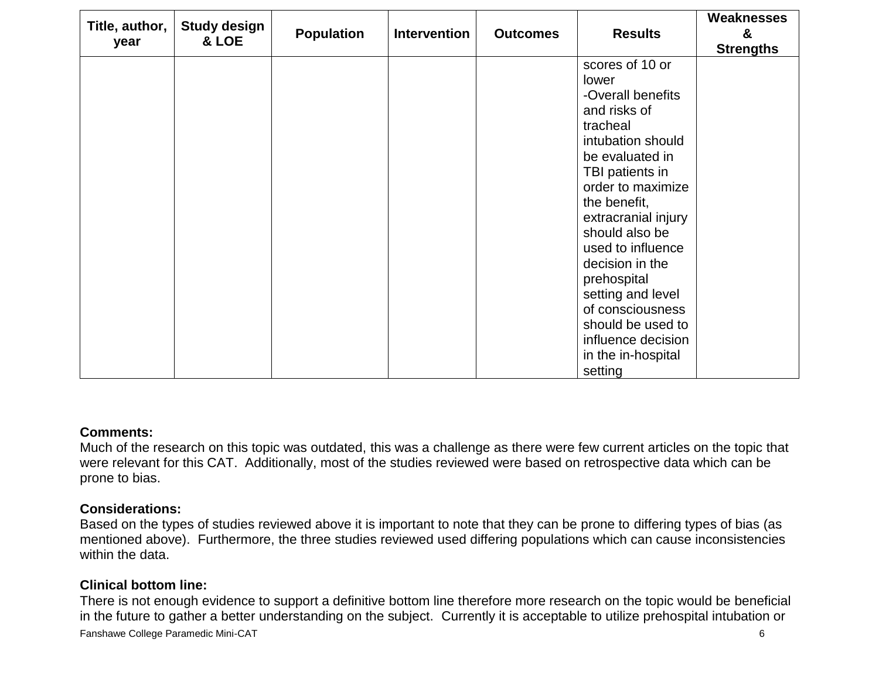| Title, author,<br>year | <b>Study design</b><br>& LOE | <b>Population</b> | <b>Intervention</b> | <b>Outcomes</b> | <b>Results</b>                                                                                                                                                                                                                                                                                                                                                                                 | Weaknesses<br>&<br><b>Strengths</b> |
|------------------------|------------------------------|-------------------|---------------------|-----------------|------------------------------------------------------------------------------------------------------------------------------------------------------------------------------------------------------------------------------------------------------------------------------------------------------------------------------------------------------------------------------------------------|-------------------------------------|
|                        |                              |                   |                     |                 | scores of 10 or<br>lower<br>-Overall benefits<br>and risks of<br>tracheal<br>intubation should<br>be evaluated in<br>TBI patients in<br>order to maximize<br>the benefit,<br>extracranial injury<br>should also be<br>used to influence<br>decision in the<br>prehospital<br>setting and level<br>of consciousness<br>should be used to<br>influence decision<br>in the in-hospital<br>setting |                                     |

### **Comments:**

Much of the research on this topic was outdated, this was a challenge as there were few current articles on the topic that were relevant for this CAT. Additionally, most of the studies reviewed were based on retrospective data which can be prone to bias.

### **Considerations:**

Based on the types of studies reviewed above it is important to note that they can be prone to differing types of bias (as mentioned above). Furthermore, the three studies reviewed used differing populations which can cause inconsistencies within the data.

# **Clinical bottom line:**

Fanshawe College Paramedic Mini-CAT 6 There is not enough evidence to support a definitive bottom line therefore more research on the topic would be beneficial in the future to gather a better understanding on the subject. Currently it is acceptable to utilize prehospital intubation or